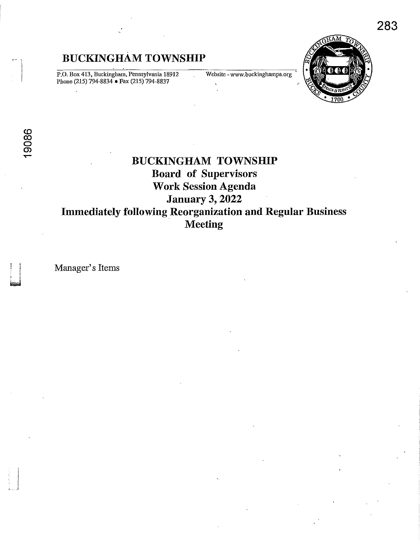P.O. Box 413, Buckingham, Pennsylvania 18912 Phone (215) 794-8834 • Fax (215) 794-8837

**Website -www.buckinghampa.org** <sup>~</sup>



i..J

# **BUCKINGHAM TOWNSHIP Board of Supervisors Work Session Agenda January 3, 2022 Immediately following Reorganization and Regular Business Meeting**

Manager's Items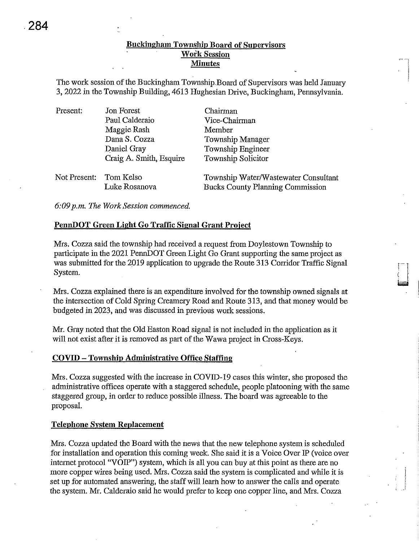# Buckingham Township Board of Supervisors Work Session Minutes

The work session of the Buckingham Township,Board of Supervisors was held January 3, 2022 in the Township Building, 4613 Hughesian Drive, Buckingham, Pennsylvania.

| Present:               | Jon Forest              | Chairman                                |
|------------------------|-------------------------|-----------------------------------------|
|                        | Paul Calderaio          | Vice-Chairman                           |
|                        | Maggie Rash             | Member                                  |
|                        | Dana S. Cozza           | Township Manager                        |
|                        | Daniel Gray             | Township Engineer                       |
|                        | Craig A. Smith, Esquire | Township Solicitor                      |
| Not Present: Tom Kelso |                         | Township Water/Wastewater Consultant    |
|                        | Luke Rosanova           | <b>Bucks County Planning Commission</b> |

*6,'09 p.m. The Work Session commenced.* 

# PennDOT Green Light Go Traffic Signal Grant Project

Mrs. Cozza said the township had received a request from Doylestown Township to participate in the 2021 PennDOT Green Light Go Grant supporting the same project as was submitted for the 2019 application to upgrade the Route 313 Corridor Traffic Signal System.

Mrs. Cozza explained there is an expenditure involved for the township owned signals at the intersection of Cold Spring Creamery Road and Route 313, and that money would be budgeted in 2023, and was discussed in previous work sessions.

Mr. Gray noted that the Old Easton Road signal is not included in the application as it will not exist after it is removed as part of the Wawa project in Cross-Keys.

## COVID - Township Administrative Office Staffing

Mrs. Cozza suggested with the increase in COVID-19 cases this winter, she proposed the administrative offices operate with a staggered schedule, people platooning with the same staggered group, in order to reduce possible illness. The board was agreeable to the proposal.

#### Telephone System Replacement

Mrs. Cozza updated the Board with the news that the new telephone system is scheduled for installation and operation this coming week. She said it is a Voice Over IP (voice over internet protocol "VOIP") system, which is all you can buy at this point as there are no more copper wires being used. Mrs. Cozza said the system is complicated and while it is set up for automated answering, the staff willlearh how to answer the calls and operate the system. Mr. Calderaio said he would prefer to keep one copper line, and Mrs. Cozza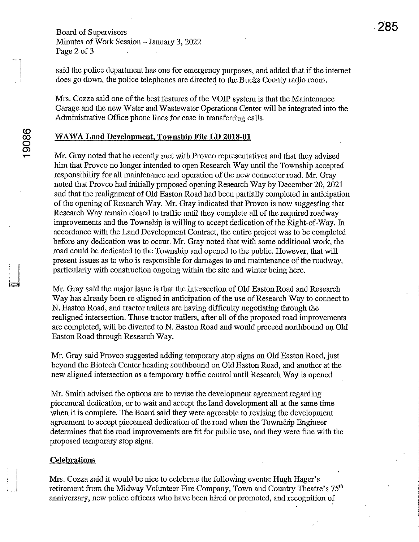Board of Supervisors Minutes of Work Session - January 3, 2022 Page 2 of 3

said the police department has one for emergency purposes, and added that if the internet does go down, the police telephones are directed to the Bucks County radio room.

Mrs. Cozza said one of the best features of the VOIP system is that the Maintenauce Garage and the new Water and Wastewater Operations Center will be integrated into the Administrative Office phone lines for ease in transferring calls.

## **WA WA Land Development, Township File LD 2018-01**

Mr. Gray noted that he recently met with Provco representatives and that they advised him that Provco no longer intended to open Research Way until the Township accepted responsibility for all maintenance and operation of the new connector road. Mr. Gray noted that Provco had initially proposed opening Research Way by December 20, 2021 and that the realignment of Old Easton Road had been partially completed in anticipation of the opening of Research Way. Mr. Gray indicated that Provco is now suggesting that Research Way remain closed to traffic until they complete all of the required roadway improvements and the Township is willing to accept dedication of the Right-of-Way. In accordance with the Land Development Contract, the entire project was to be completed before any dedication was to occur. Mr. Gray noted that with some additional work, the road could be dedicated to the Township and opened to the public. However, that will present issues as to who is responsible for damages to and maintenance of the roadway, particularly with construction ongoing within the site and winter being here.

Mr. Gray said the major issue is that the intersection of Old Easton Road and Research Way has already been re-aligned in anticipation of the use of Research Way to connect to N. Easton Road, and tractor trailers are having difficulty negotiating through the realigned intersection. Those tractor trailers, after all of the proposed road improvements are completed, will be diverted to N. Easton Road and would proceed northbound on Old Easton Road through Research Way.

Mr. Gray said Provco suggested adding temporary stop signs on Old Easton Road, just beyond the Biotech Center heading southbound on Old Easton Road, and another at the new aligned intersection as a temporary traffic control until Research Way is opened

Mr. Smith advised the options are to revise the development agreement regarding piecemeal dedication, or to wait and accept the land development all at the same time when it is complete. The Board said they were agreeable to revising the development agreement to accept piecemeal dedication of the road when the Township Engineer determines that the road improvements are fit for public use, and they were fine with the proposed temporary stop signs.

## **Celebrations**

Mrs. Cozza said it would be nice to celebrate the following events: Hugh Hager's retirement from the Midway Volunteer Fire Company, Town and Country Theatre's 75<sup>th</sup> anniversaty, new police officers who have been hired or promoted, and recognition of